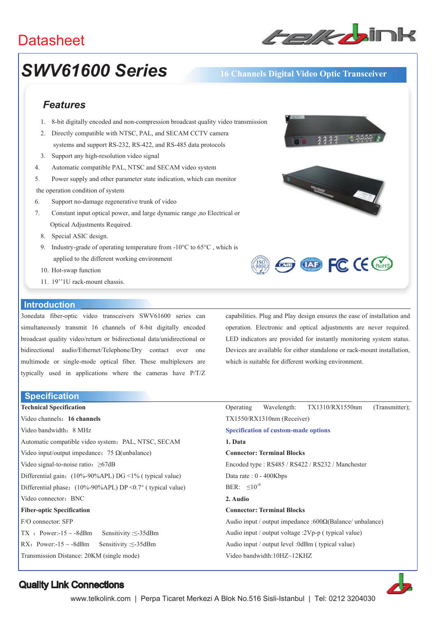# **Datasheet**



# *SWV61600 Series* **16 Channels Digital Video Optic Transceiver**

## *Features*

- 1. 8-bit digitally encoded and non-compression broadcast quality video transmission
- 2. Directly compatible with NTSC, PAL, and SECAM CCTV camera systems and support RS-232, RS-422, and RS-485 data protocols
- 3. Support any high-resolution video signal
- 4. Automatic compatible PAL, NTSC and SECAM video system
- 5. Power supply and other parameter state indication, which can monitor
- the operation condition of system
- 6. Support no-damage regenerative trunk of video
- 7. Constant input optical power, and large dynamic range ,no Electrical or Optical Adjustments Required.
	- 8. Special ASIC design.
	- 9. Industry-grade of operating temperature from  $-10^{\circ}$ C to 65 $^{\circ}$ C, which is applied to the different working environment
	- 10. Hot-swap function
	- 11. 19''1U rack-mount chassis.

#### **Introduction**

3onedata fiber-optic video transceivers SWV61600 series can simultaneously transmit 16 channels of 8-bit digitally encoded broadcast quality video/return or bidirectional data/unidirectional or bidirectional audio/Ethernet/Telephone/Dry contact over one multimode or single-mode optical fiber. These multiplexers are typically used in applications where the cameras have P/T/Z

**Specification** 

**Technical Specification**  Video channels˖**16 channels**  Video bandwidth: 8 MHz Automatic compatible video system: PAL, NTSC, SECAM Video input/output impedance:  $75 \Omega(unbalance)$ Video signal-to-noise ratio:  $\geq 67dB$ Differential gain: (10%-90%APL) DG <1% ( typical value) Differential phase:  $(10\% - 90\% APL) DP \le 0.7$ ° ( typical value) Video connector: BNC **Fiber-optic Specification**  F/O connector: SFP TX : Power:-15 ~ -8dBm Sensitivity : $\leq$ -35dBm RX: Power:-15 ~ -8dBm Sensitivity : $\leq$ -35dBm Transmission Distance: 20KM (single mode)



capabilities. Plug and Play design ensures the ease of installation and operation. Electronic and optical adjustments are never required. LED indicators are provided for instantly monitoring system status. Devices are available for either standalone or rack-mount installation, which is suitable for different working environment.

|                                                          |  | Operating Wavelength: TX1310/RX1550nm | (Transmitter); |
|----------------------------------------------------------|--|---------------------------------------|----------------|
| $TX1550/RX1310nm$ (Receiver)                             |  |                                       |                |
| <b>Specification of custom-made options</b>              |  |                                       |                |
| 1. Data                                                  |  |                                       |                |
| <b>Connector: Terminal Blocks</b>                        |  |                                       |                |
| Encoded type: RS485 / RS422 / RS232 / Manchester         |  |                                       |                |
| Data rate : $0 - 400Kbps$                                |  |                                       |                |
| BER: $\leq 10^{-9}$                                      |  |                                       |                |
| 2. Audio                                                 |  |                                       |                |
| <b>Connector: Terminal Blocks</b>                        |  |                                       |                |
| Audio input / output impedance :600Ω(Balance/ unbalance) |  |                                       |                |
| Audio input / output voltage :2Vp-p ( typical value)     |  |                                       |                |
| Audio input / output level :0dBm ( typical value)        |  |                                       |                |
| Video bandwidth:10HZ~12KHZ                               |  |                                       |                |



## Quality Link Connections